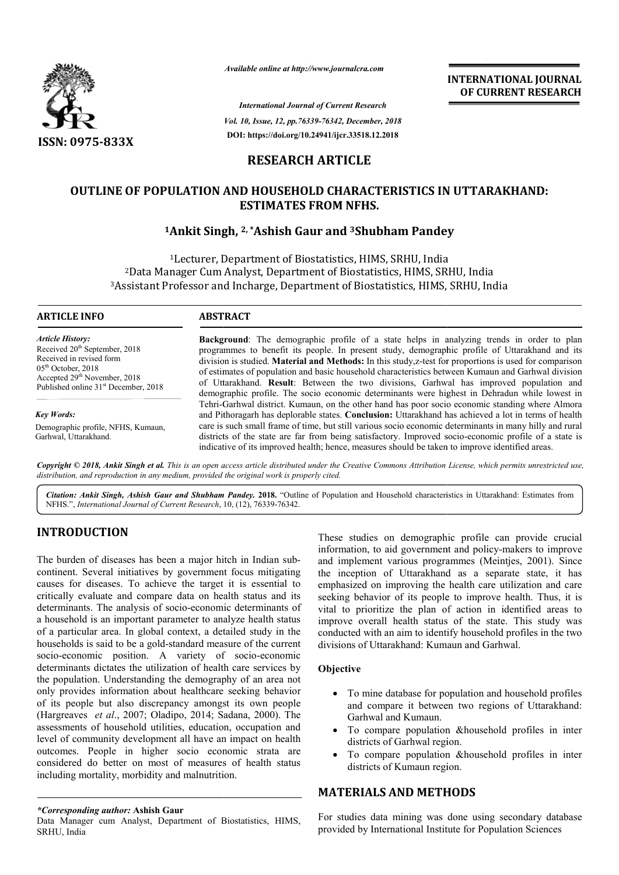

*Available online at http://www.journalcra.com*

*International Journal of Current Research Vol. 10, Issue, 12, pp.76339-76342, December, 2018* **DOI: https://doi.org/10.24941/ijcr.33518.12.2018**

**INTERNATIONAL JOURNAL OF CURRENT RESEARCH**

# **RESEARCH ARTICLE**

# **OUTLINE OF POPULATION AND HOUSEHOLD CHARACTERISTICS IN UTTARAKHAND: HOUSEHOLD CHARACTERISTICS ESTIMATES FROM NFHS.**

# <sup>1</sup> Ankit Singh, <sup>2,</sup> \*Ashish Gaur and <sup>3</sup> Shubham Pandey

<sup>1</sup>Lecturer, Department of Biostatistics, HIMS, SRHU, India <sup>1</sup>Lecturer, Department of Biostatistics, HIMS, SRHU, India<br><sup>2</sup>Data Manager Cum Analyst, Department of Biostatistics, HIMS, SRHU, India <sup>3</sup>Assistant Professor and Incharge, Department of Biostatistics, HIMS, SRHU, India

#### **ARTICLE INFO ABSTRACT**

*Article History:* Received 20<sup>th</sup> September, 2018 Received in revised form 05<sup>th</sup> October, 2018 Accepted 29<sup>th</sup> November, 2018 Published online 31<sup>st</sup> December, 2018

*Key Words:* Demographic profile, NFHS, Kumaun, Garhwal, Uttarakhand.

**Background** : The demographic profile of a state helps in analyzing trends in order to plan programmes to benefit its people. In present study, demographic profile of Uttarakhand and its division is studied. **Material and Methods:** In this study,z-test for proportions is used of estimates of population and basic household characteristics between Kumaun and Garhwal division of Uttarakhand. **Result**: Between the two divisions, Garhwal has improved population and demographic profile. The socio economic determinants were highest in Dehradun while lowest in Tehri-Garhwal district. Kumaun, on the other hand has poor socio economic standing where Almora and Pithoragarh has deplorable states. **Conclusion:** Uttarakhand has achieved a lot in terms of health care is such small frame of time, but still various socio economic determinants in many hilly and rural districts of the state are far from being satisfactory. Improved socio-economic profile of a state is indicative of its improved health; hence, measures should be taken to improve identified areas. profile of a state helps in analyzing trends in order to plan. In present study, demographic profile of Uttarakhand and its **Aethods:** In this study, z-test for proportions is used for comparison of estimates of population and basic household characteristics between Kumaun and Garhwal division<br>of Uttarakhand. **Result**: Between the two divisions, Garhwal has improved population and<br>demographic profile. The socio-eco

Copyright © 2018, Ankit Singh et al. This is an open access article distributed under the Creative Commons Attribution License, which permits unrestricted use, *distribution, and reproduction in any medium, provided the original work is properly cited.*

Citation: Ankit Singh, Ashish Gaur and Shubham Pandey. 2018. "Outline of Population and Household characteristics in Uttarakhand: Estimates from NFHS.", *International Journal of Current Research*, 10 10, (12), 76339-76342.

# **INTRODUCTION**

The burden of diseases has been a major hitch in Indian subcontinent. Several initiatives by government focus mitigating causes for diseases. To achieve the target it is essential to critically evaluate and compare data on health status and its determinants. The analysis of socio-economic determinants of a household is an important parameter to analyze health status of a particular area. In global context, a detailed study in the households is said to be a gold-standard measure of the current socio-economic position. A variety of socio-economic determinants dictates the utilization of health care services by the population. Understanding the demography of an area not only provides information about healthcare seeking behavior of its people but also discrepancy amongst its own people of its people but also discrepancy amongst its own people (Hargreaves *et al.*, 2007; Oladipo, 2014; Sadana, 2000). The assessments of household utilities, education, occupation and level of community development all have an impact on health outcomes. People in higher socio economic strata are considered do better on most of measures of health status including mortality, morbidity and malnutrition. The analysis of socio-economic determinants of<br>an important parameter to analyze health status<br>area. In global context, a detailed study in the<br>said to be a gold-standard measure of the current<br>c position. A variety of soc These studies on demographic profile can provide crucial<br>
anses has been a major hitch in Indian sub-<br>
information, to aid government and policy-makers to improve<br>
incitivatives by government focus mitigating<br>
information

These studies on demographic profile can provide crucial information, to aid government and policy-makers to improve and implement various programmes (Meintjes, 2001). Since the inception of Uttarakhand as a separate state, it has emphasized on improving the health care utilization and care seeking behavior of its people to improve health. Thus, it is vital to prioritize the plan of action in identified areas to improve overall health status of the state. This study was conducted with an aim to identify household profiles in the two divisions of Uttarakhand: Kumaun and Garhwal. nception of Uttarakhand as a separate state, it has asized on improving the health care utilization and care ug behavior of its people to improve health. Thus, it is to prioritize the plan of action in identified areas to INTERNATIONAL JOURNAL<br>
formal Research<br>
COF CURRENT RESEARCH<br>
2616/2016 Decomber 2018<br> **ARTICLE**<br> **OC CURRENT RESEARCH<br>
<b>OC CURRENT RESEARCH**<br> **OC CURRENT RESEARCH**<br> **OC CURRENT RESEARCH**<br> **OC CURRENT RESEARCH**<br> **OC CURREN** 

### **Objective**

- To mine database for population and household profiles and compare it between two regions of Uttarakhand: Garhwal and Kumaun. • To mine database for population and household profiles and compare it between two regions of Uttarakhand: Garhwal and Kumaun.<br>• To compare population &household profiles in inter
- districts of Garhwal region.
- To compare population &household profiles in inter districts of Kumaun region. districts of Garhwal region.<br>To compare population &household profiles in inter<br>districts of Kumaun region.

## **MATERIALS AND METHODS METHODS**

For studies data mining was done using secondary database provided by International Institute for Population Sciences

*<sup>\*</sup>Corresponding author:* **Ashish Gaur** 

Data Manager cum Analyst, Department of Biostatistics, HIMS, SRHU, India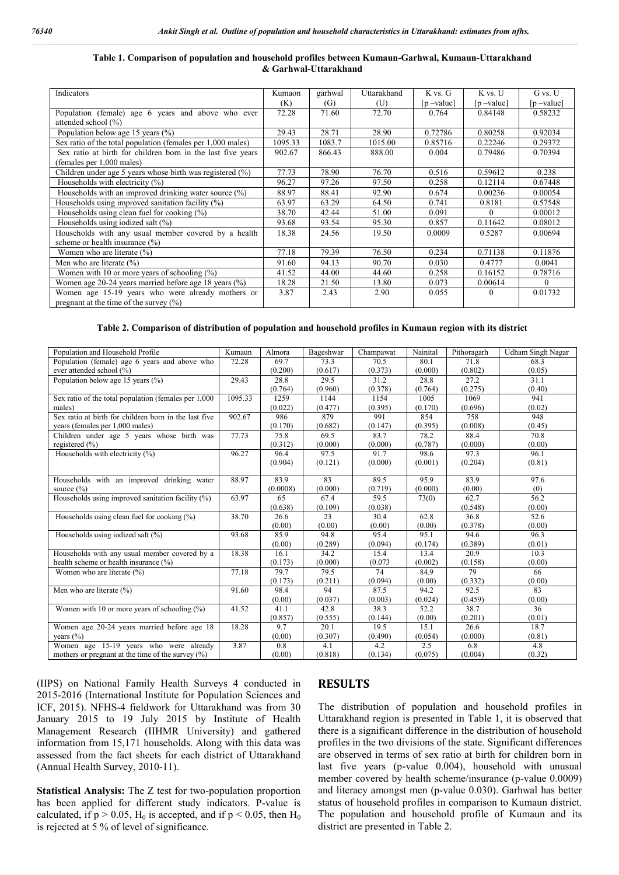#### **Table 1. Comparison of population and household profiles between Kumaun-Garhwal, Kumaun-Uttarakhand & Garhwal-Uttarakhand**

| Indicators                                                   | Kumaon  | garhwal | Uttarakhand | K vs. G       | K vs. U       | G vs. U       |
|--------------------------------------------------------------|---------|---------|-------------|---------------|---------------|---------------|
|                                                              | (K)     | (G)     | (U)         | $[p - value]$ | $[p - value]$ | $[p - value]$ |
| Population (female) age 6 years and above who ever           | 72.28   | 71.60   | 72.70       | 0.764         | 0.84148       | 0.58232       |
| attended school (%)                                          |         |         |             |               |               |               |
| Population below age 15 years (%)                            | 29.43   | 28.71   | 28.90       | 0.72786       | 0.80258       | 0.92034       |
| Sex ratio of the total population (females per 1,000 males)  | 1095.33 | 1083.7  | 1015.00     | 0.85716       | 0.22246       | 0.29372       |
| Sex ratio at birth for children born in the last five years  | 902.67  | 866.43  | 888.00      | 0.004         | 0.79486       | 0.70394       |
| (females per 1,000 males)                                    |         |         |             |               |               |               |
| Children under age 5 years whose birth was registered $(\%)$ | 77.73   | 78.90   | 76.70       | 0.516         | 0.59612       | 0.238         |
| Households with electricity (%)                              | 96.27   | 97.26   | 97.50       | 0.258         | 0.12114       | 0.67448       |
| Households with an improved drinking water source $(\%)$     | 88.97   | 88.41   | 92.90       | 0.674         | 0.00236       | 0.00054       |
| Households using improved sanitation facility $(\%)$         | 63.97   | 63.29   | 64.50       | 0.741         | 0.8181        | 0.57548       |
| Households using clean fuel for cooking (%)                  | 38.70   | 42.44   | 51.00       | 0.091         | $\Omega$      | 0.00012       |
| Households using iodized salt $(\%)$                         | 93.68   | 93.54   | 95.30       | 0.857         | 0.11642       | 0.08012       |
| Households with any usual member covered by a health         | 18.38   | 24.56   | 19.50       | 0.0009        | 0.5287        | 0.00694       |
| scheme or health insurance $(\% )$                           |         |         |             |               |               |               |
| Women who are literate (%)                                   | 77.18   | 79.39   | 76.50       | 0.234         | 0.71138       | 0.11876       |
| Men who are literate $(\% )$                                 | 91.60   | 94.13   | 90.70       | 0.030         | 0.4777        | 0.0041        |
| Women with 10 or more years of schooling $(\%)$              | 41.52   | 44.00   | 44.60       | 0.258         | 0.16152       | 0.78716       |
| Women age 20-24 years married before age 18 years $(\% )$    | 18.28   | 21.50   | 13.80       | 0.073         | 0.00614       | $\theta$      |
| Women age 15-19 years who were already mothers or            | 3.87    | 2.43    | 2.90        | 0.055         | $\Omega$      | 0.01732       |
| pregnant at the time of the survey $(\% )$                   |         |         |             |               |               |               |

#### **Table 2. Comparison of distribution of population and household profiles in Kumaun region with its district**

| Population and Household Profile                      | Kumaun  | Almora   | Bageshwar | Champawat | Nainital | Pithoragarh | <b>Udham Singh Nagar</b> |
|-------------------------------------------------------|---------|----------|-----------|-----------|----------|-------------|--------------------------|
| Population (female) age 6 years and above who         | 72.28   | 69.7     | 73.3      | 70.5      | 80.1     | 71.8        | 68.3                     |
| ever attended school (%)                              |         | (0.200)  | (0.617)   | (0.373)   | (0.000)  | (0.802)     | (0.05)                   |
| Population below age 15 years $(\%)$                  | 29.43   | 28.8     | 29.5      | 31.2      | 28.8     | 27.2        | 31.1                     |
|                                                       |         | (0.764)  | (0.960)   | (0.378)   | (0.764)  | (0.275)     | (0.40)                   |
| Sex ratio of the total population (females per 1,000  | 1095.33 | 1259     | 1144      | 1154      | 1005     | 1069        | 941                      |
| males)                                                |         | (0.022)  | (0.477)   | (0.395)   | (0.170)  | (0.696)     | (0.02)                   |
| Sex ratio at birth for children born in the last five | 902.67  | 986      | 879       | 991       | 854      | 758         | 948                      |
| years (females per 1,000 males)                       |         | (0.170)  | (0.682)   | (0.147)   | (0.395)  | (0.008)     | (0.45)                   |
| Children under age 5 years whose birth was            | 77.73   | 75.8     | 69.5      | 83.7      | 78.2     | 88.4        | 70.8                     |
| registered $(\% )$                                    |         | (0.312)  | (0.000)   | (0.000)   | (0.787)  | (0.000)     | (0.00)                   |
| Households with electricity (%)                       | 96.27   | 96.4     | 97.5      | 91.7      | 98.6     | 97.3        | 96.1                     |
|                                                       |         | (0.904)  | (0.121)   | (0.000)   | (0.001)  | (0.204)     | (0.81)                   |
|                                                       |         |          |           |           |          |             |                          |
| Households with an improved drinking water            | 88.97   | 83.9     | 83        | 89.5      | 95.9     | 83.9        | 97.6                     |
| source $(\% )$                                        |         | (0.0008) | (0.000)   | (0.719)   | (0.000)  | (0.00)      | (0)                      |
| Households using improved sanitation facility $(\%)$  | 63.97   | 65       | 67.4      | 59.5      | 73(0)    | 62.7        | 56.2                     |
|                                                       |         | (0.638)  | (0.109)   | (0.038)   |          | (0.548)     | (0.00)                   |
| Households using clean fuel for cooking $(\% )$       | 38.70   | 26.6     | 23        | 30.4      | 62.8     | 36.8        | 52.6                     |
|                                                       |         | (0.00)   | (0.00)    | (0.00)    | (0.00)   | (0.378)     | (0.00)                   |
| Households using iodized salt (%)                     | 93.68   | 85.9     | 94.8      | 95.4      | 95.1     | 94.6        | 96.3                     |
|                                                       |         | (0.00)   | (0.289)   | (0.094)   | (0.174)  | (0.389)     | (0.01)                   |
| Households with any usual member covered by a         | 18.38   | 16.1     | 34.2      | 15.4      | 13.4     | 20.9        | 10.3                     |
| health scheme or health insurance (%)                 |         | (0.173)  | (0.000)   | (0.073)   | (0.002)  | (0.158)     | (0.00)                   |
| Women who are literate (%)                            | 77.18   | 79.7     | 79.5      | 74        | 84.9     | 79          | 66                       |
|                                                       |         | (0.173)  | (0.211)   | (0.094)   | (0.00)   | (0.332)     | (0.00)                   |
| Men who are literate $(\% )$                          | 91.60   | 98.4     | 94        | 87.5      | 94.2     | 92.5        | 83                       |
|                                                       |         | (0.00)   | (0.037)   | (0.003)   | (0.024)  | (0.459)     | (0.00)                   |
| Women with 10 or more years of schooling $(\%)$       | 41.52   | 41.1     | 42.8      | 38.3      | 52.2     | 38.7        | 36                       |
|                                                       |         | (0.857)  | (0.555)   | (0.144)   | (0.00)   | (0.201)     | (0.01)                   |
| Women age 20-24 years married before age 18           | 18.28   | 9.7      | 20.1      | 19.5      | 15.1     | 26.6        | 18.7                     |
| years $(\% )$                                         |         | (0.00)   | (0.307)   | (0.490)   | (0.054)  | (0.000)     | (0.81)                   |
| Women age 15-19 years who were already                | 3.87    | 0.8      | 4.1       | 4.2       | 2.5      | 6.8         | 4.8                      |
| mothers or pregnant at the time of the survey $(\%)$  |         | (0.00)   | (0.818)   | (0.134)   | (0.075)  | (0.004)     | (0.32)                   |

(IIPS) on National Family Health Surveys 4 conducted in 2015-2016 (International Institute for Population Sciences and ICF, 2015). NFHS-4 fieldwork for Uttarakhand was from 30 January 2015 to 19 July 2015 by Institute of Health Management Research (IIHMR University) and gathered information from 15,171 households. Along with this data was assessed from the fact sheets for each district of Uttarakhand (Annual Health Survey, 2010-11).

**Statistical Analysis:** The Z test for two-population proportion has been applied for different study indicators. P-value is calculated, if  $p > 0.05$ ,  $H_0$  is accepted, and if  $p < 0.05$ , then  $H_0$ is rejected at 5 % of level of significance.

#### **RESULTS**

The distribution of population and household profiles in Uttarakhand region is presented in Table 1, it is observed that there is a significant difference in the distribution of household profiles in the two divisions of the state. Significant differences are observed in terms of sex ratio at birth for children born in last five years (p-value 0.004), household with unusual member covered by health scheme/insurance (p-value 0.0009) and literacy amongst men (p-value 0.030). Garhwal has better status of household profiles in comparison to Kumaun district. The population and household profile of Kumaun and its district are presented in Table 2.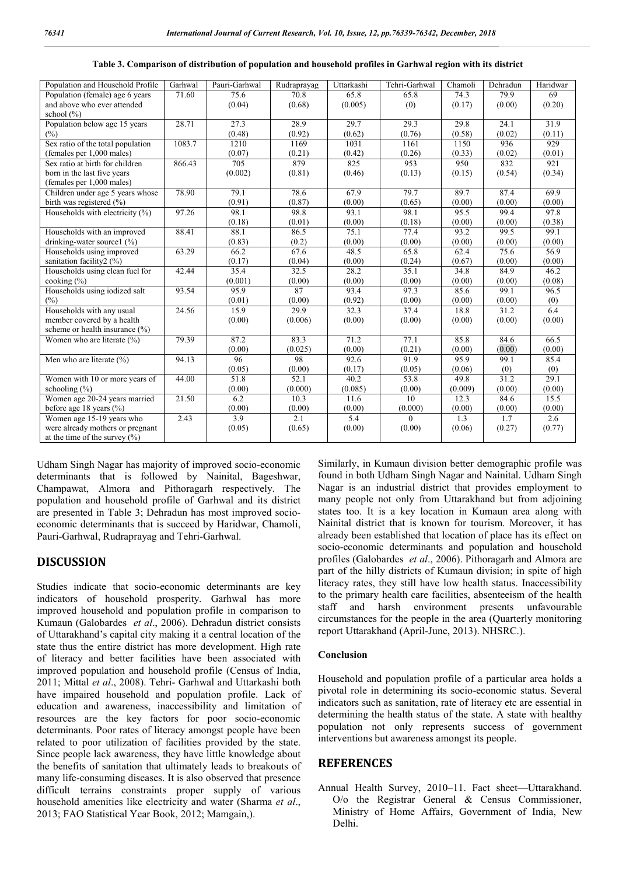| Population and Household Profile  | Garhwal | Pauri-Garhwal   | Rudraprayag | Uttarkashi | Tehri-Garhwal | Chamoli | Dehradun | Haridwar |
|-----------------------------------|---------|-----------------|-------------|------------|---------------|---------|----------|----------|
| Population (female) age 6 years   | 71.60   | 75.6            | 70.8        | 65.8       | 65.8          | 74.3    | 79.9     | 69       |
| and above who ever attended       |         | (0.04)          | (0.68)      | (0.005)    | (0)           | (0.17)  | (0.00)   | (0.20)   |
| school $(\% )$                    |         |                 |             |            |               |         |          |          |
| Population below age 15 years     | 28.71   | 27.3            | 28.9        | 29.7       | 29.3          | 29.8    | 24.1     | 31.9     |
| (%)                               |         | (0.48)          | (0.92)      | (0.62)     | (0.76)        | (0.58)  | (0.02)   | (0.11)   |
| Sex ratio of the total population | 1083.7  | 1210            | 1169        | 1031       | 1161          | 1150    | 936      | 929      |
| (females per 1,000 males)         |         | (0.07)          | (0.21)      | (0.42)     | (0.26)        | (0.33)  | (0.02)   | (0.01)   |
| Sex ratio at birth for children   | 866.43  | 705             | 879         | 825        | 953           | 950     | 832      | 921      |
| born in the last five years       |         | (0.002)         | (0.81)      | (0.46)     | (0.13)        | (0.15)  | (0.54)   | (0.34)   |
| (females per 1,000 males)         |         |                 |             |            |               |         |          |          |
| Children under age 5 years whose  | 78.90   | 79.1            | 78.6        | 67.9       | 79.7          | 89.7    | 87.4     | 69.9     |
| birth was registered (%)          |         | (0.91)          | (0.87)      | (0.00)     | (0.65)        | (0.00)  | (0.00)   | (0.00)   |
| Households with electricity (%)   | 97.26   | 98.1            | 98.8        | 93.1       | 98.1          | 95.5    | 99.4     | 97.8     |
|                                   |         | (0.18)          | (0.01)      | (0.00)     | (0.18)        | (0.00)  | (0.00)   | (0.38)   |
| Households with an improved       | 88.41   | 88.1            | 86.5        | 75.1       | 77.4          | 93.2    | 99.5     | 99.1     |
| drinking-water source1 (%)        |         | (0.83)          | (0.2)       | (0.00)     | (0.00)        | (0.00)  | (0.00)   | (0.00)   |
| Households using improved         | 63.29   | 66.2            | 67.6        | 48.5       | 65.8          | 62.4    | 75.6     | 56.9     |
| sanitation facility2 (%)          |         | (0.17)          | (0.04)      | (0.00)     | (0.24)        | (0.67)  | (0.00)   | (0.00)   |
| Households using clean fuel for   | 42.44   | 35.4            | 32.5        | 28.2       | 35.1          | 34.8    | 84.9     | 46.2     |
| cooking $(\% )$                   |         | (0.001)         | (0.00)      | (0.00)     | (0.00)        | (0.00)  | (0.00)   | (0.08)   |
| Households using iodized salt     | 93.54   | 95.9            | 87          | 93.4       | 97.3          | 85.6    | 99.1     | 96.5     |
| (%)                               |         | (0.01)          | (0.00)      | (0.92)     | (0.00)        | (0.00)  | (0.00)   | (0)      |
| Households with any usual         | 24.56   | 15.9            | 29.9        | 32.3       | 37.4          | 18.8    | 31.2     | 6.4      |
| member covered by a health        |         | (0.00)          | (0.006)     | (0.00)     | (0.00)        | (0.00)  | (0.00)   | (0.00)   |
| scheme or health insurance (%)    |         |                 |             |            |               |         |          |          |
| Women who are literate (%)        | 79.39   | 87.2            | 83.3        | 71.2       | 77.1          | 85.8    | 84.6     | 66.5     |
|                                   |         | (0.00)          | (0.025)     | (0.00)     | (0.21)        | (0.00)  | (0.00)   | (0.00)   |
| Men who are literate (%)          | 94.13   | $\overline{96}$ | 98          | 92.6       | 91.9          | 95.9    | 99.1     | 85.4     |
|                                   |         | (0.05)          | (0.00)      | (0.17)     | (0.05)        | (0.06)  | (0)      | (0)      |
| Women with 10 or more years of    | 44.00   | 51.8            | 52.1        | 40.2       | 53.8          | 49.8    | 31.2     | 29.1     |
| schooling $(\%)$                  |         | (0.00)          | (0.000)     | (0.085)    | (0.00)        | (0.009) | (0.00)   | (0.00)   |
| Women age 20-24 years married     | 21.50   | 6.2             | 10.3        | 11.6       | 10            | 12.3    | 84.6     | 15.5     |
| before age $18$ years $(\% )$     |         | (0.00)          | (0.00)      | (0.00)     | (0.000)       | (0.00)  | (0.00)   | (0.00)   |
| Women age 15-19 years who         | 2.43    | 3.9             | 2.1         | 5.4        | $\theta$      | 1.3     | 1.7      | 2.6      |
| were already mothers or pregnant  |         | (0.05)          | (0.65)      | (0.00)     | (0.00)        | (0.06)  | (0.27)   | (0.77)   |
| at the time of the survey $(\%)$  |         |                 |             |            |               |         |          |          |

**Table 3. Comparison of distribution of population and household profiles in Garhwal region with its district**

Udham Singh Nagar has majority of improved socio-economic determinants that is followed by Nainital, Bageshwar, Champawat, Almora and Pithoragarh respectively. The population and household profile of Garhwal and its district are presented in Table 3; Dehradun has most improved socioeconomic determinants that is succeed by Haridwar, Chamoli, Pauri-Garhwal, Rudraprayag and Tehri-Garhwal.

## **DISCUSSION**

Studies indicate that socio-economic determinants are key indicators of household prosperity. Garhwal has more improved household and population profile in comparison to Kumaun (Galobardes *et al*., 2006). Dehradun district consists of Uttarakhand's capital city making it a central location of the state thus the entire district has more development. High rate of literacy and better facilities have been associated with improved population and household profile (Census of India, 2011; Mittal *et al*., 2008). Tehri- Garhwal and Uttarkashi both have impaired household and population profile. Lack of education and awareness, inaccessibility and limitation of resources are the key factors for poor socio-economic determinants. Poor rates of literacy amongst people have been related to poor utilization of facilities provided by the state. Since people lack awareness, they have little knowledge about the benefits of sanitation that ultimately leads to breakouts of many life-consuming diseases. It is also observed that presence difficult terrains constraints proper supply of various household amenities like electricity and water (Sharma *et al*., 2013; FAO Statistical Year Book, 2012; Mamgain,).

Similarly, in Kumaun division better demographic profile was found in both Udham Singh Nagar and Nainital. Udham Singh Nagar is an industrial district that provides employment to many people not only from Uttarakhand but from adjoining states too. It is a key location in Kumaun area along with Nainital district that is known for tourism. Moreover, it has already been established that location of place has its effect on socio-economic determinants and population and household profiles (Galobardes *et al*., 2006). Pithoragarh and Almora are part of the hilly districts of Kumaun division; in spite of high literacy rates, they still have low health status. Inaccessibility to the primary health care facilities, absenteeism of the health staff and harsh environment presents unfavourable circumstances for the people in the area (Quarterly monitoring report Uttarakhand (April-June, 2013). NHSRC.).

#### **Conclusion**

Household and population profile of a particular area holds a pivotal role in determining its socio-economic status. Several indicators such as sanitation, rate of literacy etc are essential in determining the health status of the state. A state with healthy population not only represents success of government interventions but awareness amongst its people.

## **REFERENCES**

Annual Health Survey, 2010–11. Fact sheet—Uttarakhand. O/o the Registrar General & Census Commissioner, Ministry of Home Affairs, Government of India, New Delhi.